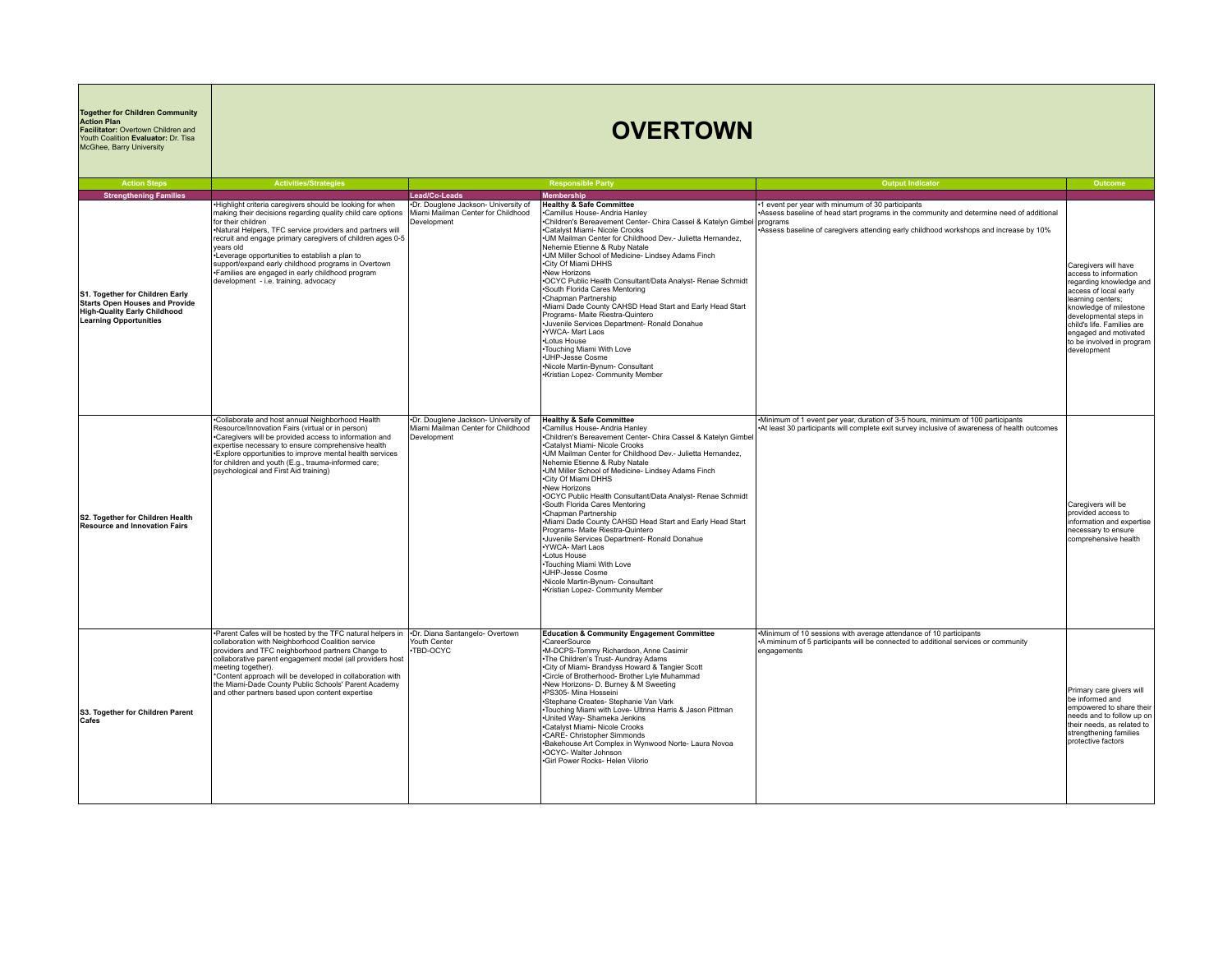| <b>Together for Children Community</b><br><b>Action Plan</b><br>Facilitator: Overtown Children and<br>Youth Coalition Evaluator: Dr. Tisa<br>McGhee, Barry University      | <b>OVERTOWN</b>                                                                                                                                                                                                                                                                                                                                                                                                                                                                                                                  |                                                                                           |                                                                                                                                                                                                                                                                                                                                                                                                                                                                                                                                                                                                                                                                                                                                                                                                                                              |                                                                                                                                                                                                                                         |                                                                                                                                                                                                                                                                               |  |
|----------------------------------------------------------------------------------------------------------------------------------------------------------------------------|----------------------------------------------------------------------------------------------------------------------------------------------------------------------------------------------------------------------------------------------------------------------------------------------------------------------------------------------------------------------------------------------------------------------------------------------------------------------------------------------------------------------------------|-------------------------------------------------------------------------------------------|----------------------------------------------------------------------------------------------------------------------------------------------------------------------------------------------------------------------------------------------------------------------------------------------------------------------------------------------------------------------------------------------------------------------------------------------------------------------------------------------------------------------------------------------------------------------------------------------------------------------------------------------------------------------------------------------------------------------------------------------------------------------------------------------------------------------------------------------|-----------------------------------------------------------------------------------------------------------------------------------------------------------------------------------------------------------------------------------------|-------------------------------------------------------------------------------------------------------------------------------------------------------------------------------------------------------------------------------------------------------------------------------|--|
| <b>Action Steps</b>                                                                                                                                                        | <b>Activities/Strategies</b>                                                                                                                                                                                                                                                                                                                                                                                                                                                                                                     |                                                                                           | <b>Responsible Party</b>                                                                                                                                                                                                                                                                                                                                                                                                                                                                                                                                                                                                                                                                                                                                                                                                                     | <b>Output Indicator</b>                                                                                                                                                                                                                 | Outcome                                                                                                                                                                                                                                                                       |  |
| <b>Strengthening Families</b><br>S1. Together for Children Early<br>Starts Open Houses and Provide<br><b>High-Quality Early Childhood</b><br><b>Learning Opportunities</b> | Highlight criteria caregivers should be looking for when<br>making their decisions regarding quality child care options   Miami Mailman Center for Childhood<br>for their children<br>.Natural Helpers, TFC service providers and partners will<br>recruit and engage primary caregivers of children ages 0-5<br>vears old<br>-Leverage opportunities to establish a plan to<br>support/expand early childhood programs in Overtown<br>•Families are engaged in early childhood program<br>development - i.e. training, advocacy | Lead/Co-Leads<br>.Dr. Douglene Jackson- University of<br>Development                      | <b>Membership</b><br><b>Healthy &amp; Safe Committee</b><br>Camillus House- Andria Hanley<br>•Children's Bereavement Center- Chira Cassel & Katelyn Gimbel programs<br>.Catalyst Miami- Nicole Crooks<br>.UM Mailman Center for Childhood Dev.- Julietta Hernandez,<br>Nehemie Etienne & Ruby Natale<br>.UM Miller School of Medicine- Lindsey Adams Finch<br>.City Of Miami DHHS<br>•New Horizons<br>.OCYC Public Health Consultant/Data Analyst- Renae Schmidt<br>•South Florida Cares Mentoring<br>•Chapman Partnership<br>.Miami Dade County CAHSD Head Start and Early Head Start<br>Programs- Maite Riestra-Quintero<br>·Juvenile Services Department- Ronald Donahue<br>.YWCA- Mart Laos<br>•Lotus House<br>•Touching Miami With Love<br>•UHP-Jesse Cosme<br>.Nicole Martin-Bynum- Consultant<br>•Kristian Lopez- Community Member    | .1 event per year with minumum of 30 participants<br>•Assess baseline of head start programs in the community and determine need of additional<br>Assess baseline of caregivers attending early childhood workshops and increase by 10% | Caregivers will have<br>access to information<br>regarding knowledge and<br>access of local early<br>learning centers;<br>knowledge of milestone<br>developmental steps in<br>child's life. Families are<br>engaged and motivated<br>to be involved in program<br>development |  |
| S2. Together for Children Health<br><b>Resource and Innovation Fairs</b>                                                                                                   | .Collaborate and host annual Neighborhood Health<br>Resource/Innovation Fairs (virtual or in person)<br>•Caregivers will be provided access to information and<br>expertise necessary to ensure comprehensive health<br>. Explore opportunities to improve mental health services<br>for children and youth (E.g., trauma-informed care;<br>psychological and First Aid training)                                                                                                                                                | .Dr. Douglene Jackson- University of<br>Miami Mailman Center for Childhood<br>Development | <b>Healthy &amp; Safe Committee</b><br>-Camillus House-Andria Hanley<br>-Camillus House-Andria Hanley<br>-Children's Bereavement Center- Chira Cassel & Katelyn Gimbel<br>.Catalyst Miami- Nicole Crooks<br>.UM Mailman Center for Childhood Dev.- Julietta Hernandez,<br>Nehemie Etienne & Ruby Natale<br>.UM Miller School of Medicine- Lindsey Adams Finch<br>•City Of Miami DHHS<br>.New Horizons<br>.OCYC Public Health Consultant/Data Analyst- Renae Schmidt<br>·South Florida Cares Mentoring<br>•Chapman Partnership<br>•Miami Dade County CAHSD Head Start and Early Head Start<br>Programs- Maite Riestra-Quintero<br>·Juvenile Services Department- Ronald Donahue<br>.YWCA- Mart Laos<br>•Lotus House<br>•Touching Miami With Love<br>•UHP-Jesse Cosme<br>.Nicole Martin-Bynum- Consultant<br>•Kristian Lopez- Community Member | •Minimum of 1 event per year, duration of 3-5 hours, minimum of 100 participants<br>At least 30 participants will complete exit survey inclusive of awareness of health outcomes                                                        | Caregivers will be<br>provided access to<br>information and expertise<br>necessary to ensure<br>comprehensive health                                                                                                                                                          |  |
| S3. Together for Children Parent<br>Cafes                                                                                                                                  | •Parent Cafes will be hosted by the TFC natural helpers in •Dr. Diana Santangelo-Overtown<br>collaboration with Neighborhood Coalition service<br>providers and TFC neighborhood partners Change to<br>collaborative parent engagement model (all providers host<br>meeting together).<br>*Content approach will be developed in collaboration with<br>the Miami-Dade County Public Schools' Parent Academy<br>and other partners based upon content expertise                                                                   | Youth Center<br>TBD-OCYC                                                                  | <b>Education &amp; Community Engagement Committee</b><br>·CareerSource<br>.M-DCPS-Tommy Richardson, Anne Casimir<br>. The Children's Trust-Aundray Adams<br>.City of Miami- Brandyss Howard & Tangier Scott<br>.Circle of Brotherhood- Brother Lyle Muhammad<br>•New Horizons- D. Burney & M Sweeting<br>·PS305- Mina Hosseini<br>·Stephane Creates- Stephanie Van Vark<br>. Touching Miami with Love- Ultrina Harris & Jason Pittman<br>·United Way- Shameka Jenkins<br>.Catalyst Miami- Nicole Crooks<br>•CARE- Christopher Simmonds<br>.Bakehouse Art Complex in Wynwood Norte- Laura Novoa<br>•OCYC- Walter Johnson<br>.Girl Power Rocks- Helen Vilorio                                                                                                                                                                                  | .Minimum of 10 sessions with average attendance of 10 participants<br>-A miminum of 5 participants will be connected to additional services or community<br>engagements                                                                 | Primary care givers will<br>be informed and<br>empowered to share their<br>needs and to follow up on<br>their needs, as related to<br>strengthening families<br>protective factors                                                                                            |  |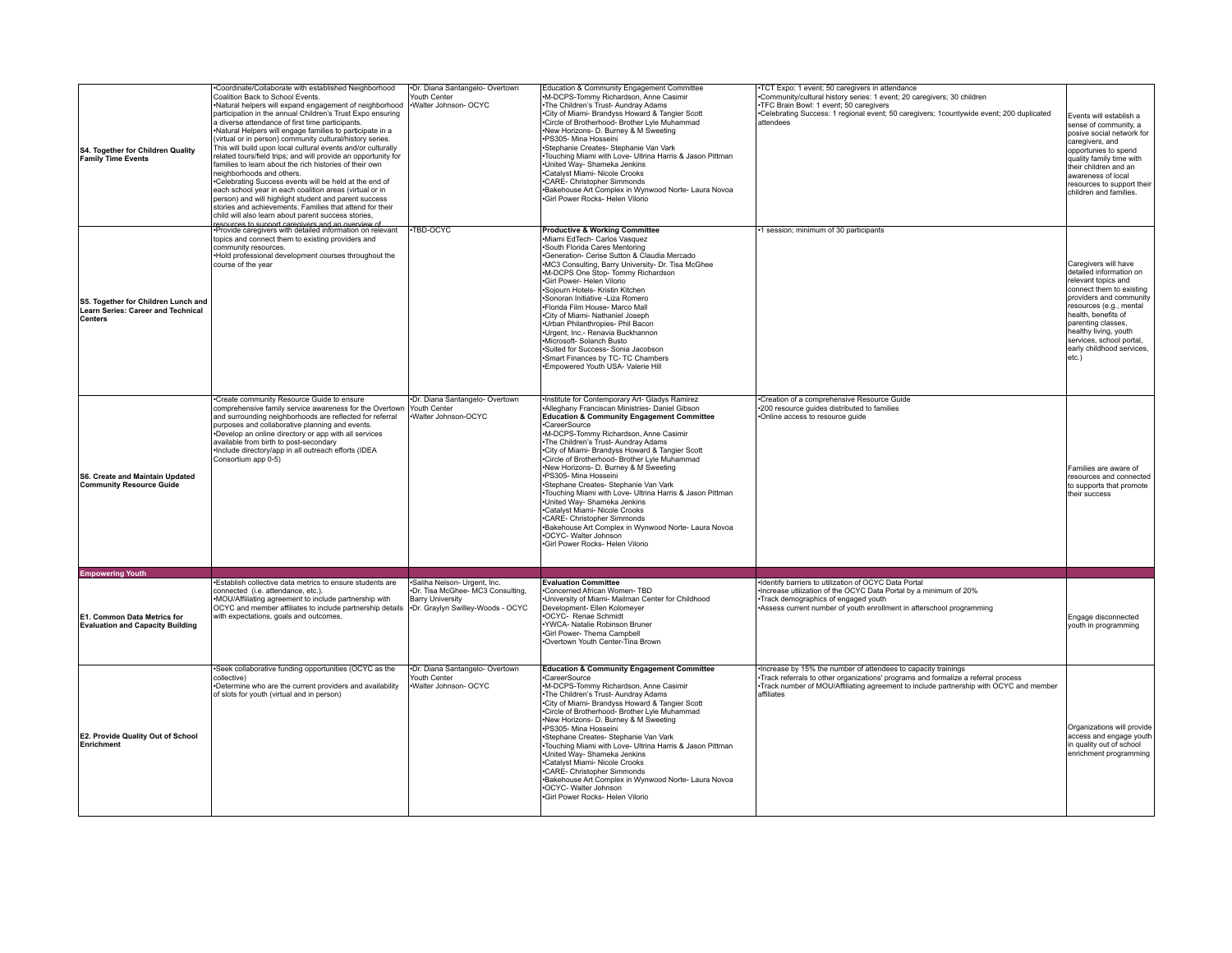| S4. Together for Children Quality<br><b>Family Time Events</b>                       | Coordinate/Collaborate with established Neighborhood<br>Coalition Back to School Events.<br>Natural helpers will expand engagement of neighborhood valter Johnson- OCYC<br>participation in the annual Children's Trust Expo ensuring<br>a diverse attendance of first time participants.<br>Natural Helpers will engage families to participate in a<br>(virtual or in person) community cultural/history series.<br>This will build upon local cultural events and/or culturally<br>related tours/field trips; and will provide an opportunity for<br>families to learn about the rich histories of their own<br>neighborhoods and others.<br>•Celebrating Success events will be held at the end of<br>each school year in each coalition areas (virtual or in<br>person) and will highlight student and parent success<br>stories and achievements. Families that attend for their<br>child will also learn about parent success stories, | ·Dr. Diana Santangelo- Overtown<br>Youth Center                                                                                 | Education & Community Engagement Committee<br>M-DCPS-Tommy Richardson, Anne Casimir<br>The Children's Trust-Aundray Adams<br>City of Miami- Brandyss Howard & Tangier Scott<br>Circle of Brotherhood- Brother Lyle Muhammad<br>New Horizons- D. Burney & M Sweeting<br>-PS305- Mina Hosseini<br>-Stephanie Creates- Stephanie Van Vark<br>Touching Miami with Love- Ultrina Harris & Jason Pittman<br>United Way- Shameka Jenkins<br>Catalyst Miami- Nicole Crooks<br>·CARÉ- Christopher Simmonds<br>Bakehouse Art Complex in Wynwood Norte- Laura Novoa<br>Girl Power Rocks- Helen Vilorio                                                                                                                                                       | TCT Expo: 1 event; 50 caregivers in attendance<br>Community/cultural history series: 1 event; 20 caregivers; 30 children<br>TFC Brain Bowl: 1 event; 50 caregivers<br>-Celebrating Success: 1 regional event; 50 caregivers; 1countywide event; 200 duplicated<br>attendees | Events will establish a<br>sense of community, a<br>posive social network for<br>caregivers, and<br>opportunies to spend<br>quality family time with<br>their children and an<br>awareness of local<br>resources to support their<br>children and families.                                      |
|--------------------------------------------------------------------------------------|-----------------------------------------------------------------------------------------------------------------------------------------------------------------------------------------------------------------------------------------------------------------------------------------------------------------------------------------------------------------------------------------------------------------------------------------------------------------------------------------------------------------------------------------------------------------------------------------------------------------------------------------------------------------------------------------------------------------------------------------------------------------------------------------------------------------------------------------------------------------------------------------------------------------------------------------------|---------------------------------------------------------------------------------------------------------------------------------|---------------------------------------------------------------------------------------------------------------------------------------------------------------------------------------------------------------------------------------------------------------------------------------------------------------------------------------------------------------------------------------------------------------------------------------------------------------------------------------------------------------------------------------------------------------------------------------------------------------------------------------------------------------------------------------------------------------------------------------------------|-----------------------------------------------------------------------------------------------------------------------------------------------------------------------------------------------------------------------------------------------------------------------------|--------------------------------------------------------------------------------------------------------------------------------------------------------------------------------------------------------------------------------------------------------------------------------------------------|
| S5. Together for Children Lunch and<br>Learn Series: Career and Technical<br>Centers | resources to support caregivers and an overview of<br>•Provide caregivers with detailed information on relevant<br>topics and connect them to existing providers and<br>community resources.<br>Hold professional development courses throughout the<br>course of the year                                                                                                                                                                                                                                                                                                                                                                                                                                                                                                                                                                                                                                                                    | -TBD-OCYC                                                                                                                       | <b>Productive &amp; Working Committee</b><br>Miami EdTech- Carlos Vasquez<br>South Florida Cares Mentoring<br>Generation- Cerise Sutton & Claudia Mercado<br>MC3 Consulting, Barry University- Dr. Tisa McGhee<br>.M-DCPS One Stop-Tommy Richardson<br>Girl Power- Helen Vilorio<br>Sojourn Hotels- Kristin Kitchen<br>Sonoran Initiative - Liza Romero<br>·Florida Film House- Marco Mall<br>City of Miami- Nathaniel Joseph<br>Urban Philanthropies- Phil Bacon<br>Urgent, Inc.- Renavia Buckhannon<br>Microsoft- Solanch Busto<br>Suited for Success- Sonia Jacobson<br>Smart Finances by TC- TC Chambers<br>Empowered Youth USA- Valerie Hill                                                                                                 | -1 session; minimum of 30 participants                                                                                                                                                                                                                                      | Caregivers will have<br>detailed information on<br>relevant topics and<br>connect them to existing<br>providers and community<br>resources (e.g., mental<br>health, benefits of<br>parenting classes.<br>healthy living, youth<br>services, school portal.<br>early childhood services,<br>etc.) |
| S6. Create and Maintain Updated<br>Community Resource Guide                          | Create community Resource Guide to ensure<br>comprehensive family service awareness for the Overtown<br>and surrounding neighborhoods are reflected for referral<br>purposes and collaborative planning and events.<br>Develop an online directory or app with all services<br>available from birth to post-secondary<br>Include directory/app in all outreach efforts (IDEA<br>Consortium app 0-5)                                                                                                                                                                                                                                                                                                                                                                                                                                                                                                                                           | .Dr. Diana Santangelo- Overtown<br>Youth Center<br>.Walter Johnson-OCYC                                                         | Institute for Contemporary Art- Gladys Ramirez<br>Alleghany Franciscan Ministries- Daniel Gibson<br><b>Education &amp; Community Engagement Committee</b><br>CareerSource<br>M-DCPS-Tommy Richardson, Anne Casimir<br>The Children's Trust-Aundray Adams<br>City of Miami- Brandyss Howard & Tangier Scott<br>Circle of Brotherhood- Brother Lyle Muhammad<br>New Horizons- D. Burney & M Sweeting<br>-PS305- Mina Hosseini<br>Stephane Creates- Stephanie Van Vark<br>Touching Miami with Love- Ultrina Harris & Jason Pittman<br>United Way- Shameka Jenkins<br>•Catalvst Miami- Nicole Crooks<br>.CARE- Christopher Simmonds<br>Bakehouse Art Complex in Wynwood Norte- Laura Novoa<br>OCYC- Walter Johnson<br>Girl Power Rocks- Helen Vilorio | Creation of a comprehensive Resource Guide<br>*200 resource guides distributed to families<br>.Online access to resource guide                                                                                                                                              | Families are aware of<br>resources and connected<br>to supports that promote<br>their success                                                                                                                                                                                                    |
| <b>Empowering Youth</b>                                                              |                                                                                                                                                                                                                                                                                                                                                                                                                                                                                                                                                                                                                                                                                                                                                                                                                                                                                                                                               |                                                                                                                                 |                                                                                                                                                                                                                                                                                                                                                                                                                                                                                                                                                                                                                                                                                                                                                   |                                                                                                                                                                                                                                                                             |                                                                                                                                                                                                                                                                                                  |
| E1. Common Data Metrics for<br><b>Evaluation and Capacity Building</b>               | Establish collective data metrics to ensure students are<br>connected (i.e. attendance, etc.).<br>•MOU/Affiliating agreement to include partnership with<br>OCYC and member affiliates to include partnership details<br>with expectations, goals and outcomes.                                                                                                                                                                                                                                                                                                                                                                                                                                                                                                                                                                                                                                                                               | ·Saliha Nelson- Urgent, Inc.<br>Dr. Tisa McGhee-MC3 Consulting,<br><b>Barry University</b><br>•Dr. Graylyn Swilley-Woods - OCYC | <b>Evaluation Committee</b><br>Concerned African Women-TBD<br>University of Miami- Mailman Center for Childhood<br>Development- Ellen Kolomeyer<br>OCYC- Renae Schmidt<br>·YWCA- Natalie Robinson Bruner<br>Girl Power- Thema Campbell<br>Overtown Youth Center-Tina Brown                                                                                                                                                                                                                                                                                                                                                                                                                                                                        | Identify barriers to utilization of OCYC Data Portal<br>Increase utliization of the OCYC Data Portal by a minimum of 20%<br>Track demographics of engaged youth<br>Assess current number of youth enrollment in afterschool programming                                     | Engage disconnected<br>youth in programming                                                                                                                                                                                                                                                      |
| E2. Provide Quality Out of School<br>Enrichment                                      | Seek collaborative funding opportunities (OCYC as the<br>collective)<br>Determine who are the current providers and availability<br>of slots for youth (virtual and in person)                                                                                                                                                                                                                                                                                                                                                                                                                                                                                                                                                                                                                                                                                                                                                                | ·Dr. Diana Santangelo- Overtown<br>fouth Center<br>Walter Johnson- OCYC                                                         | <b>Education &amp; Community Engagement Committee</b><br>CareerSource<br>M-DCPS-Tommy Richardson, Anne Casimir<br>The Children's Trust-Aundray Adams<br>City of Miami- Brandyss Howard & Tangier Scott<br>Circle of Brotherhood- Brother Lyle Muhammad<br>New Horizons- D. Burney & M Sweeting<br>PS305- Mina Hosseini<br>Stephane Creates- Stephanie Van Vark<br>Touching Miami with Love- Ultrina Harris & Jason Pittman<br>United Way- Shameka Jenkins<br>Catalyst Miami- Nicole Crooks<br>·CARÉ- Christopher Simmonds<br>Bakehouse Art Complex in Wynwood Norte- Laura Novoa<br>OCYC- Walter Johnson<br>Girl Power Rocks- Helen Vilorio                                                                                                       | Increase by 15% the number of attendees to capacity trainings<br>Track referrals to other organizations' programs and formalize a referral process<br>•Track number of MOU/Affiliating agreement to include partnership with OCYC and member<br>affiliates                  | Organizations will provide<br>access and engage youth<br>in quality out of school<br>enrichment programming                                                                                                                                                                                      |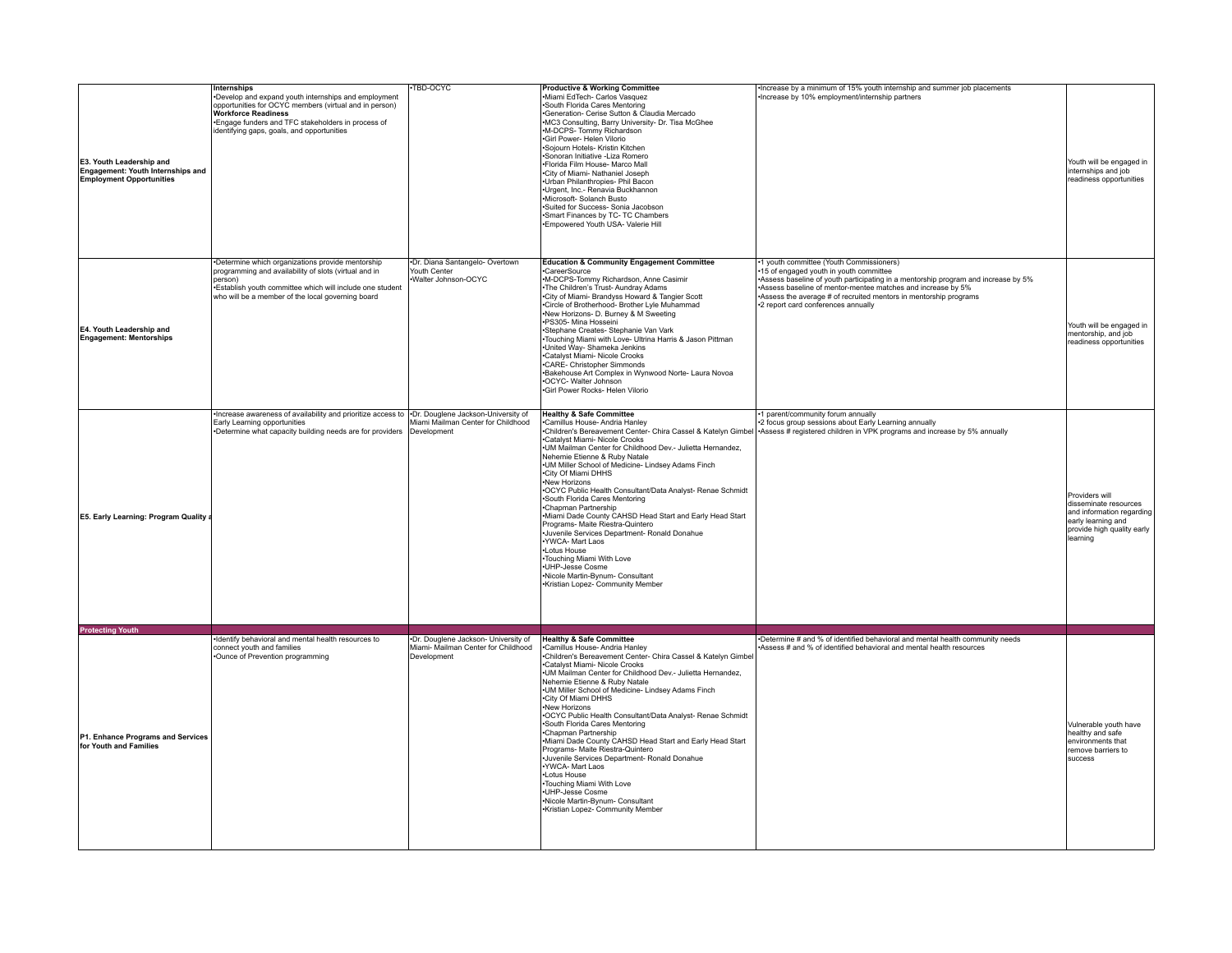| E3. Youth Leadership and<br>Engagement: Youth Internships and<br><b>Employment Opportunities</b> | Internships<br>Develop and expand youth internships and employment<br>opportunities for OCYC members (virtual and in person)<br><b>Workforce Readiness</b><br>*Engage funders and TFC stakeholders in process of<br>identifying gaps, goals, and opportunities | TBD-OCYC                                                                                   | <b>Productive &amp; Working Committee</b><br>·Miami EdTech- Carlos Vasquez<br>·South Florida Cares Mentoring<br>-Generation- Cerise Sutton & Claudia Mercado<br>.MC3 Consulting, Barry University- Dr. Tisa McGhee<br>.M-DCPS- Tommy Richardson<br>·Girl Power- Helen Vilorio<br>·Sojourn Hotels- Kristin Kitchen<br>·Sonoran Initiative -Liza Romero<br>.Florida Film House- Marco Mall<br>.City of Miami- Nathaniel Joseph<br>·Urban Philanthropies- Phil Bacon<br>·Urgent, Inc.- Renavia Buckhannon<br>·Microsoft- Solanch Busto<br>·Suited for Success- Sonia Jacobson<br>•Smart Finances by TC- TC Chambers<br>.Empowered Youth USA- Valerie Hill                                                                                                                                                    | Increase by a minimum of 15% youth internship and summer job placements<br>•Increase by 10% employment/internship partners                                                                                                                                                                                                                          | Youth will be engaged in<br>internships and job<br>readiness opportunities                                                           |
|--------------------------------------------------------------------------------------------------|----------------------------------------------------------------------------------------------------------------------------------------------------------------------------------------------------------------------------------------------------------------|--------------------------------------------------------------------------------------------|-----------------------------------------------------------------------------------------------------------------------------------------------------------------------------------------------------------------------------------------------------------------------------------------------------------------------------------------------------------------------------------------------------------------------------------------------------------------------------------------------------------------------------------------------------------------------------------------------------------------------------------------------------------------------------------------------------------------------------------------------------------------------------------------------------------|-----------------------------------------------------------------------------------------------------------------------------------------------------------------------------------------------------------------------------------------------------------------------------------------------------------------------------------------------------|--------------------------------------------------------------------------------------------------------------------------------------|
| E4. Youth Leadership and<br><b>Engagement: Mentorships</b>                                       | •Determine which organizations provide mentorship<br>programming and availability of slots (virtual and in<br>person)<br>. Establish youth committee which will include one student<br>who will be a member of the local governing board                       | ·Dr. Diana Santangelo- Overtown<br>Youth Center<br>Walter Johnson-OCYC                     | <b>Education &amp; Community Engagement Committee</b><br>·CareerSource<br>.M-DCPS-Tommy Richardson, Anne Casimir<br>•The Children's Trust-Aundray Adams<br>.City of Miami- Brandyss Howard & Tangier Scott<br>Circle of Brotherhood- Brother Lyle Muhammad<br>New Horizons- D. Burney & M Sweeting<br>·PS305- Mina Hosseini<br>·Stephane Creates- Stephanie Van Vark<br>-Touching Miami with Love- Ultrina Harris & Jason Pittman<br>·United Way- Shameka Jenkins<br>Catalyst Miami- Nicole Crooks<br>.CARE- Christopher Simmonds<br>-Bakehouse Art Complex in Wynwood Norte- Laura Novoa<br>•OCYC- Walter Johnson<br>·Girl Power Rocks- Helen Vilorio                                                                                                                                                    | •1 youth committee (Youth Commissioners)<br>•15 of engaged youth in youth committee<br>Assess baseline of youth participating in a mentorship program and increase by 5%<br>•Assess baseline of mentor-mentee matches and increase by 5%<br>Assess the average # of recruited mentors in mentorship programs<br>*2 report card conferences annually | Youth will be engaged in<br>mentorship, and job<br>readiness opportunities                                                           |
| <b>E5. Early Learning: Program Quality</b>                                                       | Increase awareness of availability and prioritize access to<br>Early Learning opportunities<br>•Determine what capacity building needs are for providers                                                                                                       | .Dr. Douglene Jackson-University of<br>Miami Mailman Center for Childhood<br>Development   | <b>Healthy &amp; Safe Committee</b><br>Camillus House- Andria Hanley<br>Children's Bereavement Center- Chira Cassel & Katelyn Gimbel<br>Catalyst Miami- Nicole Crooks<br>.UM Mailman Center for Childhood Dev.- Julietta Hernandez,<br>Nehemie Etienne & Ruby Natale<br>.UM Miller School of Medicine- Lindsey Adams Finch<br>•City Of Miami DHHS<br>•New Horizons<br>.OCYC Public Health Consultant/Data Analyst- Renae Schmidt<br>•South Florida Cares Mentoring<br>•Chapman Partnership<br>-Miami Dade County CAHSD Head Start and Early Head Start<br>Programs- Maite Riestra-Quintero<br>-Juvenile Services Department- Ronald Donahue<br>·YWCA- Mart Laos<br>•Lotus House<br>•Touching Miami With Love<br>·UHP-Jesse Cosme<br>•Nicole Martin-Bynum- Consultant<br>•Kristian Lopez- Community Member | .1 parent/community forum annually<br>*2 focus group sessions about Early Learning annually<br>*Assess # registered children in VPK programs and increase by 5% annually                                                                                                                                                                            | Providers will<br>disseminate resources<br>and information regarding<br>early learning and<br>provide high quality early<br>learning |
| <b>Protecting Youth</b>                                                                          |                                                                                                                                                                                                                                                                |                                                                                            |                                                                                                                                                                                                                                                                                                                                                                                                                                                                                                                                                                                                                                                                                                                                                                                                           |                                                                                                                                                                                                                                                                                                                                                     |                                                                                                                                      |
| P1. Enhance Programs and Services<br>for Youth and Families                                      | ·Identify behavioral and mental health resources to<br>connect youth and families<br>Ounce of Prevention programming                                                                                                                                           | ·Dr. Douglene Jackson- University of<br>Miami- Mailman Center for Childhood<br>Development | <b>Healthy &amp; Safe Committee</b><br>.Camillus House- Andria Hanley<br>Children's Bereavement Center- Chira Cassel & Katelyn Gimbe<br>Catalyst Miami- Nicole Crooks<br>.UM Mailman Center for Childhood Dev.- Julietta Hernandez,<br>Nehemie Etienne & Ruby Natale<br>.UM Miller School of Medicine- Lindsey Adams Finch<br>.City Of Miami DHHS<br>New Horizons<br>.OCYC Public Health Consultant/Data Analyst- Renae Schmidt<br>•South Florida Cares Mentoring<br>Chapman Partnership<br>-Miami Dade County CAHSD Head Start and Early Head Start<br>Programs- Maite Riestra-Quintero<br>Juvenile Services Department- Ronald Donahue<br>.YWCA- Mart Laos<br>·Lotus House<br>Touching Miami With Love<br>·UHP-Jesse Cosme<br>·Nicole Martin-Bynum- Consultant<br>Kristian Lopez- Community Member      | Determine # and % of identified behavioral and mental health community needs<br>Assess # and % of identified behavioral and mental health resources                                                                                                                                                                                                 | Vulnerable youth have<br>healthy and safe<br>environments that<br>remove barriers to<br>success                                      |